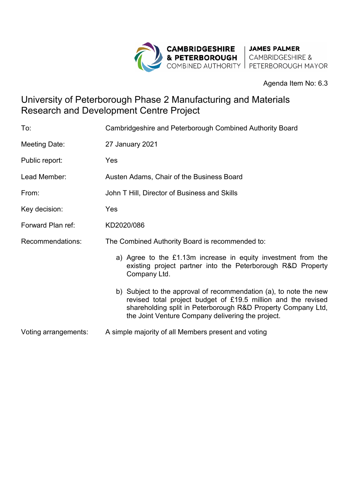

#### Agenda Item No: 6.3

# University of Peterborough Phase 2 Manufacturing and Materials Research and Development Centre Project

| To:                  | Cambridgeshire and Peterborough Combined Authority Board                                                                                                                                                                                                |
|----------------------|---------------------------------------------------------------------------------------------------------------------------------------------------------------------------------------------------------------------------------------------------------|
| Meeting Date:        | 27 January 2021                                                                                                                                                                                                                                         |
| Public report:       | Yes                                                                                                                                                                                                                                                     |
| Lead Member:         | Austen Adams, Chair of the Business Board                                                                                                                                                                                                               |
| From:                | John T Hill, Director of Business and Skills                                                                                                                                                                                                            |
| Key decision:        | Yes                                                                                                                                                                                                                                                     |
| Forward Plan ref:    | KD2020/086                                                                                                                                                                                                                                              |
| Recommendations:     | The Combined Authority Board is recommended to:                                                                                                                                                                                                         |
|                      | a) Agree to the £1.13m increase in equity investment from the<br>existing project partner into the Peterborough R&D Property<br>Company Ltd.                                                                                                            |
|                      | b) Subject to the approval of recommendation (a), to note the new<br>revised total project budget of £19.5 million and the revised<br>shareholding split in Peterborough R&D Property Company Ltd,<br>the Joint Venture Company delivering the project. |
| Voting arrangements: | A simple majority of all Members present and voting                                                                                                                                                                                                     |